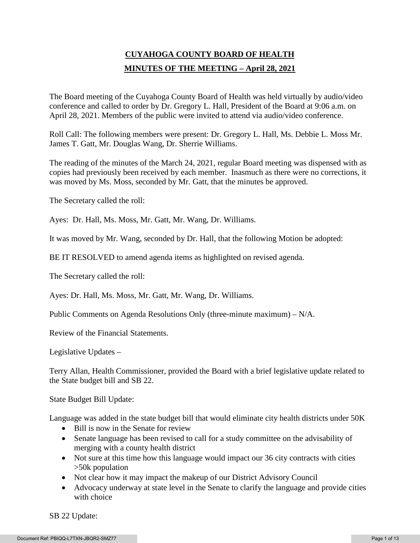# **CUYAHOGA COUNTY BOARD OF HEALTH MINUTES OF THE MEETING – April 28, 2021**

The Board meeting of the Cuyahoga County Board of Health was held virtually by audio/video conference and called to order by Dr. Gregory L. Hall, President of the Board at 9:06 a.m. on April 28, 2021. Members of the public were invited to attend via audio/video conference.

Roll Call: The following members were present: Dr. Gregory L. Hall, Ms. Debbie L. Moss Mr. James T. Gatt, Mr. Douglas Wang, Dr. Sherrie Williams.

The reading of the minutes of the March 24, 2021, regular Board meeting was dispensed with as copies had previously been received by each member. Inasmuch as there were no corrections, it was moved by Ms. Moss, seconded by Mr. Gatt, that the minutes be approved.

The Secretary called the roll:

Ayes: Dr. Hall, Ms. Moss, Mr. Gatt, Mr. Wang, Dr. Williams.

It was moved by Mr. Wang, seconded by Dr. Hall, that the following Motion be adopted:

BE IT RESOLVED to amend agenda items as highlighted on revised agenda.

The Secretary called the roll:

Ayes: Dr. Hall, Ms. Moss, Mr. Gatt, Mr. Wang, Dr. Williams.

Public Comments on Agenda Resolutions Only (three-minute maximum) – N/A.

Review of the Financial Statements.

Legislative Updates –

Terry Allan, Health Commissioner, provided the Board with a brief legislative update related to the State budget bill and SB 22.

State Budget Bill Update:

Language was added in the state budget bill that would eliminate city health districts under 50K

- Bill is now in the Senate for review
- Senate language has been revised to call for a study committee on the advisability of merging with a county health district
- Not sure at this time how this language would impact our 36 city contracts with cities >50k population
- Not clear how it may impact the makeup of our District Advisory Council
- Advocacy underway at state level in the Senate to clarify the language and provide cities with choice

SB 22 Update: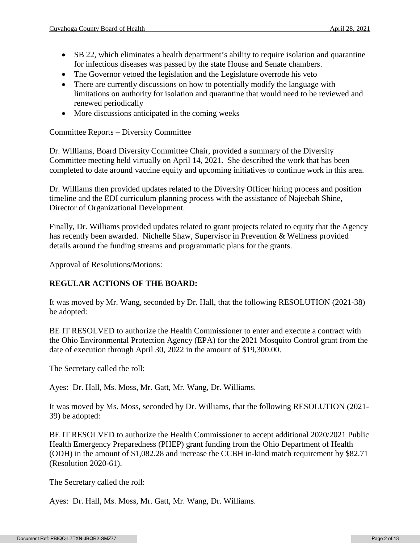- SB 22, which eliminates a health department's ability to require isolation and quarantine for infectious diseases was passed by the state House and Senate chambers.
- The Governor vetoed the legislation and the Legislature overrode his veto
- There are currently discussions on how to potentially modify the language with limitations on authority for isolation and quarantine that would need to be reviewed and renewed periodically
- More discussions anticipated in the coming weeks

Committee Reports – Diversity Committee

Dr. Williams, Board Diversity Committee Chair, provided a summary of the Diversity Committee meeting held virtually on April 14, 2021. She described the work that has been completed to date around vaccine equity and upcoming initiatives to continue work in this area.

Dr. Williams then provided updates related to the Diversity Officer hiring process and position timeline and the EDI curriculum planning process with the assistance of Najeebah Shine, Director of Organizational Development.

Finally, Dr. Williams provided updates related to grant projects related to equity that the Agency has recently been awarded. Nichelle Shaw, Supervisor in Prevention & Wellness provided details around the funding streams and programmatic plans for the grants.

Approval of Resolutions/Motions:

# **REGULAR ACTIONS OF THE BOARD:**

It was moved by Mr. Wang, seconded by Dr. Hall, that the following RESOLUTION (2021-38) be adopted:

BE IT RESOLVED to authorize the Health Commissioner to enter and execute a contract with the Ohio Environmental Protection Agency (EPA) for the 2021 Mosquito Control grant from the date of execution through April 30, 2022 in the amount of \$19,300.00.

The Secretary called the roll:

Ayes: Dr. Hall, Ms. Moss, Mr. Gatt, Mr. Wang, Dr. Williams.

It was moved by Ms. Moss, seconded by Dr. Williams, that the following RESOLUTION (2021- 39) be adopted:

BE IT RESOLVED to authorize the Health Commissioner to accept additional 2020/2021 Public Health Emergency Preparedness (PHEP) grant funding from the Ohio Department of Health (ODH) in the amount of \$1,082.28 and increase the CCBH in-kind match requirement by \$82.71 (Resolution 2020-61).

The Secretary called the roll:

Ayes: Dr. Hall, Ms. Moss, Mr. Gatt, Mr. Wang, Dr. Williams.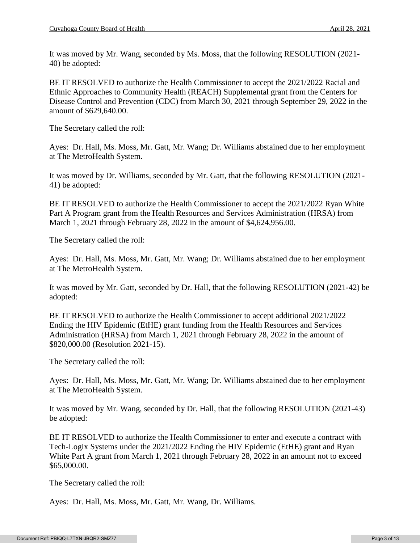It was moved by Mr. Wang, seconded by Ms. Moss, that the following RESOLUTION (2021- 40) be adopted:

BE IT RESOLVED to authorize the Health Commissioner to accept the 2021/2022 Racial and Ethnic Approaches to Community Health (REACH) Supplemental grant from the Centers for Disease Control and Prevention (CDC) from March 30, 2021 through September 29, 2022 in the amount of \$629,640.00.

The Secretary called the roll:

Ayes: Dr. Hall, Ms. Moss, Mr. Gatt, Mr. Wang; Dr. Williams abstained due to her employment at The MetroHealth System.

It was moved by Dr. Williams, seconded by Mr. Gatt, that the following RESOLUTION (2021- 41) be adopted:

BE IT RESOLVED to authorize the Health Commissioner to accept the 2021/2022 Ryan White Part A Program grant from the Health Resources and Services Administration (HRSA) from March 1, 2021 through February 28, 2022 in the amount of \$4,624,956.00.

The Secretary called the roll:

Ayes: Dr. Hall, Ms. Moss, Mr. Gatt, Mr. Wang; Dr. Williams abstained due to her employment at The MetroHealth System.

It was moved by Mr. Gatt, seconded by Dr. Hall, that the following RESOLUTION (2021-42) be adopted:

BE IT RESOLVED to authorize the Health Commissioner to accept additional 2021/2022 Ending the HIV Epidemic (EtHE) grant funding from the Health Resources and Services Administration (HRSA) from March 1, 2021 through February 28, 2022 in the amount of \$820,000.00 (Resolution 2021-15).

The Secretary called the roll:

Ayes: Dr. Hall, Ms. Moss, Mr. Gatt, Mr. Wang; Dr. Williams abstained due to her employment at The MetroHealth System.

It was moved by Mr. Wang, seconded by Dr. Hall, that the following RESOLUTION (2021-43) be adopted:

BE IT RESOLVED to authorize the Health Commissioner to enter and execute a contract with Tech-Logix Systems under the 2021/2022 Ending the HIV Epidemic (EtHE) grant and Ryan White Part A grant from March 1, 2021 through February 28, 2022 in an amount not to exceed \$65,000.00.

The Secretary called the roll:

Ayes: Dr. Hall, Ms. Moss, Mr. Gatt, Mr. Wang, Dr. Williams.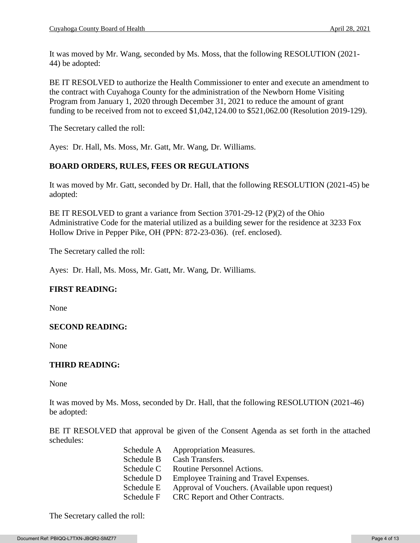It was moved by Mr. Wang, seconded by Ms. Moss, that the following RESOLUTION (2021- 44) be adopted:

BE IT RESOLVED to authorize the Health Commissioner to enter and execute an amendment to the contract with Cuyahoga County for the administration of the Newborn Home Visiting Program from January 1, 2020 through December 31, 2021 to reduce the amount of grant funding to be received from not to exceed \$1,042,124.00 to \$521,062.00 (Resolution 2019-129).

The Secretary called the roll:

Ayes: Dr. Hall, Ms. Moss, Mr. Gatt, Mr. Wang, Dr. Williams.

# **BOARD ORDERS, RULES, FEES OR REGULATIONS**

It was moved by Mr. Gatt, seconded by Dr. Hall, that the following RESOLUTION (2021-45) be adopted:

BE IT RESOLVED to grant a variance from Section  $3701-29-12$  (P)(2) of the Ohio Administrative Code for the material utilized as a building sewer for the residence at 3233 Fox Hollow Drive in Pepper Pike, OH (PPN: 872-23-036). (ref. enclosed).

The Secretary called the roll:

Ayes: Dr. Hall, Ms. Moss, Mr. Gatt, Mr. Wang, Dr. Williams.

# **FIRST READING:**

None

# **SECOND READING:**

None

# **THIRD READING:**

None

It was moved by Ms. Moss, seconded by Dr. Hall, that the following RESOLUTION (2021-46) be adopted:

BE IT RESOLVED that approval be given of the Consent Agenda as set forth in the attached schedules:

| Schedule A | <b>Appropriation Measures.</b>                 |
|------------|------------------------------------------------|
| Schedule B | Cash Transfers.                                |
| Schedule C | Routine Personnel Actions.                     |
| Schedule D | Employee Training and Travel Expenses.         |
| Schedule E | Approval of Vouchers. (Available upon request) |
| Schedule F | CRC Report and Other Contracts.                |

The Secretary called the roll: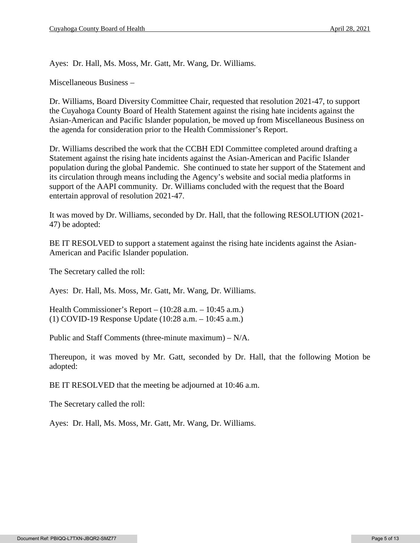Ayes: Dr. Hall, Ms. Moss, Mr. Gatt, Mr. Wang, Dr. Williams.

Miscellaneous Business –

Dr. Williams, Board Diversity Committee Chair, requested that resolution 2021-47, to support the Cuyahoga County Board of Health Statement against the rising hate incidents against the Asian-American and Pacific Islander population, be moved up from Miscellaneous Business on the agenda for consideration prior to the Health Commissioner's Report.

Dr. Williams described the work that the CCBH EDI Committee completed around drafting a Statement against the rising hate incidents against the Asian-American and Pacific Islander population during the global Pandemic. She continued to state her support of the Statement and its circulation through means including the Agency's website and social media platforms in support of the AAPI community. Dr. Williams concluded with the request that the Board entertain approval of resolution 2021-47.

It was moved by Dr. Williams, seconded by Dr. Hall, that the following RESOLUTION (2021- 47) be adopted:

BE IT RESOLVED to support a statement against the rising hate incidents against the Asian-American and Pacific Islander population.

The Secretary called the roll:

Ayes: Dr. Hall, Ms. Moss, Mr. Gatt, Mr. Wang, Dr. Williams.

Health Commissioner's Report – (10:28 a.m. – 10:45 a.m.) (1) COVID-19 Response Update (10:28 a.m. – 10:45 a.m.)

Public and Staff Comments (three-minute maximum) – N/A.

Thereupon, it was moved by Mr. Gatt, seconded by Dr. Hall, that the following Motion be adopted:

BE IT RESOLVED that the meeting be adjourned at 10:46 a.m.

The Secretary called the roll:

Ayes: Dr. Hall, Ms. Moss, Mr. Gatt, Mr. Wang, Dr. Williams.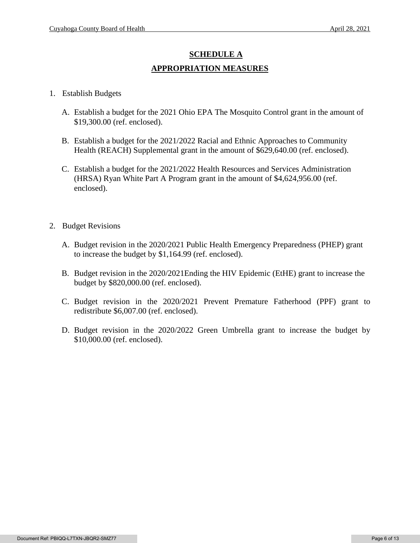# **SCHEDULE A APPROPRIATION MEASURES**

- 1. Establish Budgets
	- A. Establish a budget for the 2021 Ohio EPA The Mosquito Control grant in the amount of \$19,300.00 (ref. enclosed).
	- B. Establish a budget for the 2021/2022 Racial and Ethnic Approaches to Community Health (REACH) Supplemental grant in the amount of \$629,640.00 (ref. enclosed).
	- C. Establish a budget for the 2021/2022 Health Resources and Services Administration (HRSA) Ryan White Part A Program grant in the amount of \$4,624,956.00 (ref. enclosed).
- 2. Budget Revisions
	- A. Budget revision in the 2020/2021 Public Health Emergency Preparedness (PHEP) grant to increase the budget by \$1,164.99 (ref. enclosed).
	- B. Budget revision in the 2020/2021Ending the HIV Epidemic (EtHE) grant to increase the budget by \$820,000.00 (ref. enclosed).
	- C. Budget revision in the 2020/2021 Prevent Premature Fatherhood (PPF) grant to redistribute \$6,007.00 (ref. enclosed).
	- D. Budget revision in the 2020/2022 Green Umbrella grant to increase the budget by \$10,000.00 (ref. enclosed).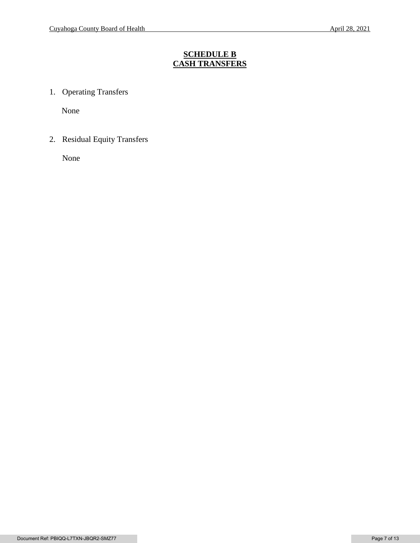# **SCHEDULE B CASH TRANSFERS**

1. Operating Transfers

None

2. Residual Equity Transfers

None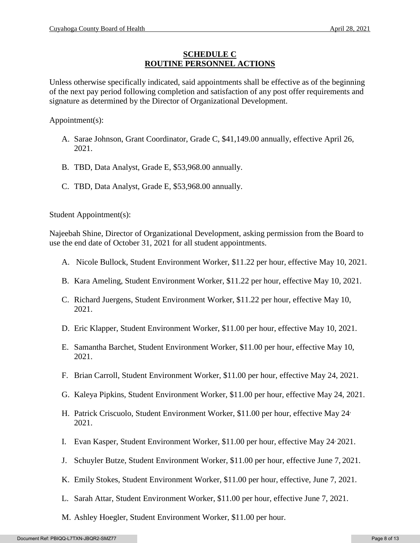## **SCHEDULE C ROUTINE PERSONNEL ACTIONS**

Unless otherwise specifically indicated, said appointments shall be effective as of the beginning of the next pay period following completion and satisfaction of any post offer requirements and signature as determined by the Director of Organizational Development.

Appointment(s):

- A. Sarae Johnson, Grant Coordinator, Grade C, \$41,149.00 annually, effective April 26, 2021.
- B. TBD, Data Analyst, Grade E, \$53,968.00 annually.
- C. TBD, Data Analyst, Grade E, \$53,968.00 annually.

Student Appointment(s):

Najeebah Shine, Director of Organizational Development, asking permission from the Board to use the end date of October 31, 2021 for all student appointments.

- A. Nicole Bullock, Student Environment Worker, \$11.22 per hour, effective May 10, 2021.
- B. Kara Ameling, Student Environment Worker, \$11.22 per hour, effective May 10, 2021.
- C. Richard Juergens, Student Environment Worker, \$11.22 per hour, effective May 10, 2021.
- D. Eric Klapper, Student Environment Worker, \$11.00 per hour, effective May 10, 2021.
- E. Samantha Barchet, Student Environment Worker, \$11.00 per hour, effective May 10, 2021.
- F. Brian Carroll, Student Environment Worker, \$11.00 per hour, effective May 24, 2021.
- G. Kaleya Pipkins, Student Environment Worker, \$11.00 per hour, effective May 24, 2021.
- H. Patrick Criscuolo, Student Environment Worker, \$11.00 per hour, effective May 24, 2021.
- I. Evan Kasper, Student Environment Worker, \$11.00 per hour, effective May 24, 2021.
- J. Schuyler Butze, Student Environment Worker, \$11.00 per hour, effective June 7, 2021.
- K. Emily Stokes, Student Environment Worker, \$11.00 per hour, effective, June 7, 2021.
- L. Sarah Attar, Student Environment Worker, \$11.00 per hour, effective June 7, 2021.
- M. Ashley Hoegler, Student Environment Worker, \$11.00 per hour.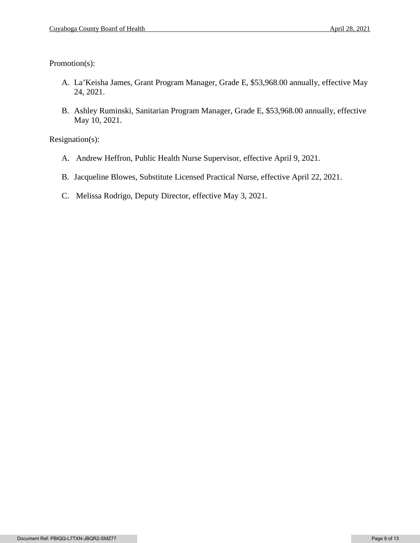Promotion(s):

- A. La'Keisha James, Grant Program Manager, Grade E, \$53,968.00 annually, effective May 24, 2021.
- B. Ashley Ruminski, Sanitarian Program Manager, Grade E, \$53,968.00 annually, effective May 10, 2021.

Resignation(s):

- A. Andrew Heffron, Public Health Nurse Supervisor, effective April 9, 2021.
- B. Jacqueline Blowes, Substitute Licensed Practical Nurse, effective April 22, 2021.
- C. Melissa Rodrigo, Deputy Director, effective May 3, 2021.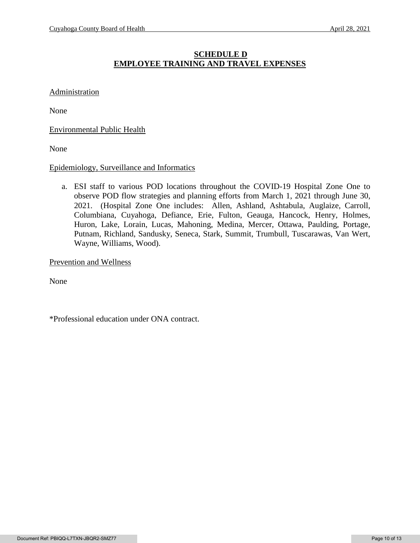# **SCHEDULE D EMPLOYEE TRAINING AND TRAVEL EXPENSES**

#### **Administration**

None

Environmental Public Health

None

#### Epidemiology, Surveillance and Informatics

a. ESI staff to various POD locations throughout the COVID-19 Hospital Zone One to observe POD flow strategies and planning efforts from March 1, 2021 through June 30, 2021. (Hospital Zone One includes: Allen, Ashland, Ashtabula, Auglaize, Carroll, Columbiana, Cuyahoga, Defiance, Erie, Fulton, Geauga, Hancock, Henry, Holmes, Huron, Lake, Lorain, Lucas, Mahoning, Medina, Mercer, Ottawa, Paulding, Portage, Putnam, Richland, Sandusky, Seneca, Stark, Summit, Trumbull, Tuscarawas, Van Wert, Wayne, Williams, Wood).

Prevention and Wellness

None

\*Professional education under ONA contract.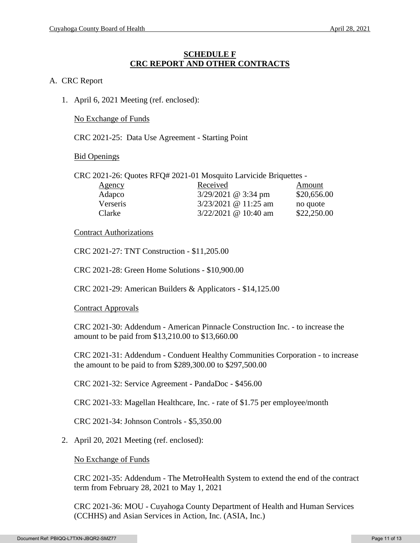### **SCHEDULE F CRC REPORT AND OTHER CONTRACTS**

#### A. CRC Report

1. April 6, 2021 Meeting (ref. enclosed):

No Exchange of Funds

CRC 2021-25: Data Use Agreement - Starting Point

Bid Openings

CRC 2021-26: Quotes RFQ# 2021-01 Mosquito Larvicide Briquettes -

| Agency   | Received               | Amount      |
|----------|------------------------|-------------|
| Adapco   | $3/29/2021$ @ 3:34 pm  | \$20,656.00 |
| Verseris | $3/23/2021$ @ 11:25 am | no quote    |
| Clarke   | $3/22/2021$ @ 10:40 am | \$22,250.00 |

#### Contract Authorizations

CRC 2021-27: TNT Construction - \$11,205.00

CRC 2021-28: Green Home Solutions - \$10,900.00

CRC 2021-29: American Builders & Applicators - \$14,125.00

#### Contract Approvals

CRC 2021-30: Addendum - American Pinnacle Construction Inc. - to increase the amount to be paid from \$13,210.00 to \$13,660.00

CRC 2021-31: Addendum - Conduent Healthy Communities Corporation - to increase the amount to be paid to from \$289,300.00 to \$297,500.00

CRC 2021-32: Service Agreement - PandaDoc - \$456.00

CRC 2021-33: Magellan Healthcare, Inc. - rate of \$1.75 per employee/month

CRC 2021-34: Johnson Controls - \$5,350.00

2. April 20, 2021 Meeting (ref. enclosed):

No Exchange of Funds

CRC 2021-35: Addendum - The MetroHealth System to extend the end of the contract term from February 28, 2021 to May 1, 2021

CRC 2021-36: MOU - Cuyahoga County Department of Health and Human Services (CCHHS) and Asian Services in Action, Inc. (ASIA, Inc.)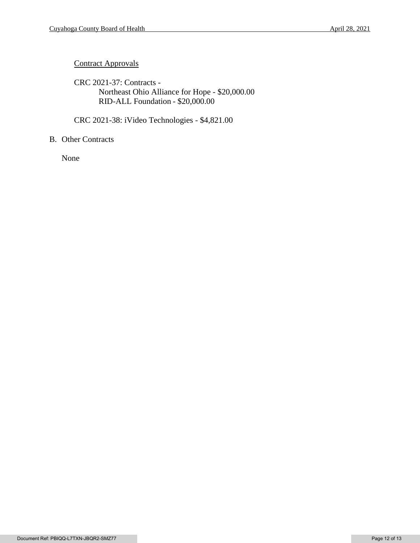# **Contract Approvals**

CRC 2021-37: Contracts - Northeast Ohio Alliance for Hope - \$20,000.00 RID-ALL Foundation - \$20,000.00

CRC 2021-38: iVideo Technologies - \$4,821.00

## B. Other Contracts

None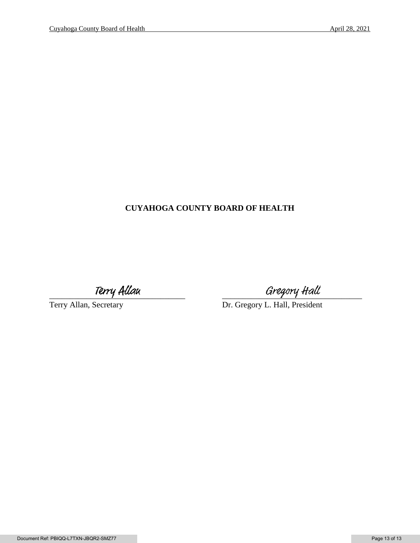# **CUYAHOGA COUNTY BOARD OF HEALTH**

Terry Allau Ferry Allau Gregory Hall<br>Terry Allan, Secretary Dr. Gregory L. Hall, President Dr. Gregory L. Hall, President